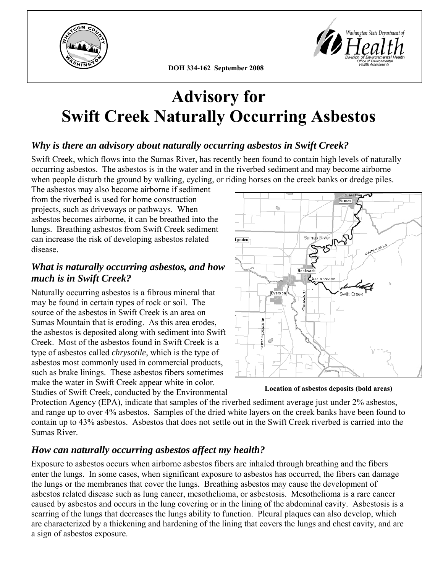

Washington State Department of l e n

**DOH 334-162 September 2008**

# **Advisory for Swift Creek Naturally Occurring Asbestos**

# *Why is there an advisory about naturally occurring asbestos in Swift Creek?*

Swift Creek, which flows into the Sumas River, has recently been found to contain high levels of naturally occurring asbestos. The asbestos is in the water and in the riverbed sediment and may become airborne when people disturb the ground by walking, cycling, or riding horses on the creek banks or dredge piles.

The asbestos may also become airborne if sediment from the riverbed is used for home construction projects, such as driveways or pathways. When asbestos becomes airborne, it can be breathed into the lungs. Breathing asbestos from Swift Creek sediment can increase the risk of developing asbestos related disease.

# *What is naturally occurring asbestos, and how much is in Swift Creek?*

Naturally occurring asbestos is a fibrous mineral that may be found in certain types of rock or soil. The source of the asbestos in Swift Creek is an area on Sumas Mountain that is eroding. As this area erodes, the asbestos is deposited along with sediment into Swift Creek. Most of the asbestos found in Swift Creek is a type of asbestos called *chrysotile*, which is the type of asbestos most commonly used in commercial products, such as brake linings. These asbestos fibers sometimes make the water in Swift Creek appear white in color. Studies of Swift Creek, conducted by the Environmental



**Location of asbestos deposits (bold areas)**

Protection Agency (EPA), indicate that samples of the riverbed sediment average just under 2% asbestos, and range up to over 4% asbestos. Samples of the dried white layers on the creek banks have been found to contain up to 43% asbestos. Asbestos that does not settle out in the Swift Creek riverbed is carried into the Sumas River.

# *How can naturally occurring asbestos affect my health?*

Exposure to asbestos occurs when airborne asbestos fibers are inhaled through breathing and the fibers enter the lungs. In some cases, when significant exposure to asbestos has occurred, the fibers can damage the lungs or the membranes that cover the lungs. Breathing asbestos may cause the development of asbestos related disease such as lung cancer, mesothelioma, or asbestosis. Mesothelioma is a rare cancer caused by asbestos and occurs in the lung covering or in the lining of the abdominal cavity. Asbestosis is a scarring of the lungs that decreases the lungs ability to function. Pleural plaques can also develop, which are characterized by a thickening and hardening of the lining that covers the lungs and chest cavity, and are a sign of asbestos exposure.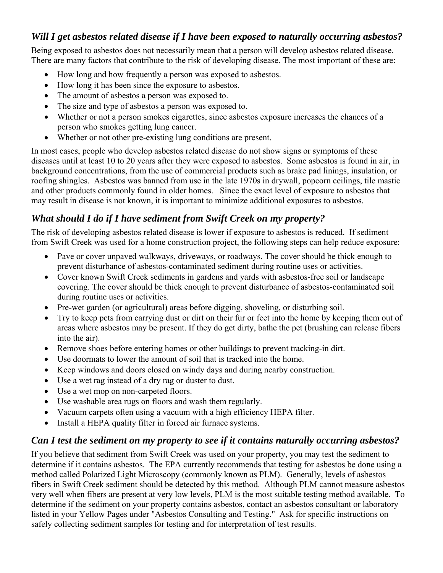# *Will I get asbestos related disease if I have been exposed to naturally occurring asbestos?*

Being exposed to asbestos does not necessarily mean that a person will develop asbestos related disease. There are many factors that contribute to the risk of developing disease. The most important of these are:

- How long and how frequently a person was exposed to asbestos.
- How long it has been since the exposure to asbestos.
- The amount of asbestos a person was exposed to.
- The size and type of asbestos a person was exposed to.
- Whether or not a person smokes cigarettes, since asbestos exposure increases the chances of a person who smokes getting lung cancer.
- Whether or not other pre-existing lung conditions are present.

In most cases, people who develop asbestos related disease do not show signs or symptoms of these diseases until at least 10 to 20 years after they were exposed to asbestos. Some asbestos is found in air, in background concentrations, from the use of commercial products such as brake pad linings, insulation, or roofing shingles. Asbestos was banned from use in the late 1970s in drywall, popcorn ceilings, tile mastic and other products commonly found in older homes. Since the exact level of exposure to asbestos that may result in disease is not known, it is important to minimize additional exposures to asbestos.

# *What should I do if I have sediment from Swift Creek on my property?*

The risk of developing asbestos related disease is lower if exposure to asbestos is reduced. If sediment from Swift Creek was used for a home construction project, the following steps can help reduce exposure:

- Pave or cover unpaved walkways, driveways, or roadways. The cover should be thick enough to prevent disturbance of asbestos-contaminated sediment during routine uses or activities.
- Cover known Swift Creek sediments in gardens and yards with asbestos-free soil or landscape covering. The cover should be thick enough to prevent disturbance of asbestos-contaminated soil during routine uses or activities.
- Pre-wet garden (or agricultural) areas before digging, shoveling, or disturbing soil.
- Try to keep pets from carrying dust or dirt on their fur or feet into the home by keeping them out of areas where asbestos may be present. If they do get dirty, bathe the pet (brushing can release fibers into the air).
- Remove shoes before entering homes or other buildings to prevent tracking-in dirt.
- Use doormats to lower the amount of soil that is tracked into the home.
- Keep windows and doors closed on windy days and during nearby construction.
- Use a wet rag instead of a dry rag or duster to dust.
- Use a wet mop on non-carpeted floors.
- Use washable area rugs on floors and wash them regularly.
- Vacuum carpets often using a vacuum with a high efficiency HEPA filter.
- Install a HEPA quality filter in forced air furnace systems.

### *Can I test the sediment on my property to see if it contains naturally occurring asbestos?*

If you believe that sediment from Swift Creek was used on your property, you may test the sediment to determine if it contains asbestos. The EPA currently recommends that testing for asbestos be done using a method called Polarized Light Microscopy (commonly known as PLM). Generally, levels of asbestos fibers in Swift Creek sediment should be detected by this method. Although PLM cannot measure asbestos very well when fibers are present at very low levels, PLM is the most suitable testing method available. To determine if the sediment on your property contains asbestos, contact an asbestos consultant or laboratory listed in your Yellow Pages under "Asbestos Consulting and Testing." Ask for specific instructions on safely collecting sediment samples for testing and for interpretation of test results.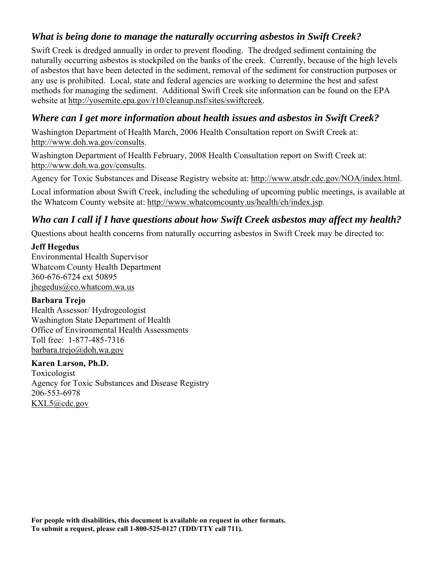## *What is being done to manage the naturally occurring asbestos in Swift Creek?*

Swift Creek is dredged annually in order to prevent flooding. The dredged sediment containing the naturally occurring asbestos is stockpiled on the banks of the creek. Currently, because of the high levels of asbestos that have been detected in the sediment, removal of the sediment for construction purposes or any use is prohibited. Local, state and federal agencies are working to determine the best and safest methods for managing the sediment. Additional Swift Creek site information can be found on the EPA website at [http://yosemite.epa.gov/r10/cleanup.nsf/sites/swiftcreek.](http://yosemite.epa.gov/r10/cleanup.nsf/sites/swiftcreek)

## *Where can I get more information about health issues and asbestos in Swift Creek?*

Washington Department of Health March, 2006 Health Consultation report on Swift Creek at: <http://www.doh.wa.gov/consults>.

Washington Department of Health February, 2008 Health Consultation report on Swift Creek at: <http://www.doh.wa.gov/consults>.

Agency for Toxic Substances and Disease Registry website at: <http://www.atsdr.cdc.gov/NOA/index.html>.

Local information about Swift Creek, including the scheduling of upcoming public meetings, is available at the Whatcom County website at: <http://www.whatcomcounty.us/health/eh/index.jsp>.

# *Who can I call if I have questions about how Swift Creek asbestos may affect my health?*

Questions about health concerns from naturally occurring asbestos in Swift Creek may be directed to:

#### **Jeff Hegedus**

Environmental Health Supervisor Whatcom County Health Department 360-676-6724 ext 50895 [jhegedus@co.whatcom.wa.us](mailto:jhegedus@co.whatcom.wa.us)

#### **Barbara Trejo**

Health Assessor/ Hydrogeologist Washington State Department of Health Office of Environmental Health Assessments Toll free: 1-877-485-7316 [barbara.trejo@doh.wa.gov](mailto:barbara.trejo@doh.wa.gov)

#### **Karen Larson, Ph.D.**

Toxicologist Agency for Toxic Substances and Disease Registry 206-553-6978 [KXL5@cdc.gov](mailto:KXL5@cdc.gov)